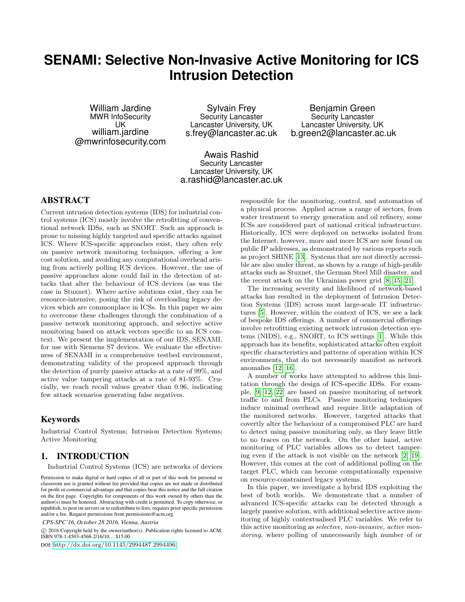# **SENAMI: Selective Non-Invasive Active Monitoring for ICS Intrusion Detection**

William Jardine MWR InfoSecurity UK william.jardine @mwrinfosecurity.com

Sylvain Frey Security Lancaster Lancaster University, UK s.frey@lancaster.ac.uk

Benjamin Green Security Lancaster Lancaster University, UK b.green2@lancaster.ac.uk

Awais Rashid Security Lancaster Lancaster University, UK a.rashid@lancaster.ac.uk

# ABSTRACT

Current intrusion detection systems (IDS) for industrial control systems (ICS) mostly involve the retrofitting of conventional network IDSs, such as SNORT. Such an approach is prone to missing highly targeted and specific attacks against ICS. Where ICS-specific approaches exist, they often rely on passive network monitoring techniques, offering a low cost solution, and avoiding any computational overhead arising from actively polling ICS devices. However, the use of passive approaches alone could fail in the detection of attacks that alter the behaviour of ICS devices (as was the case in Stuxnet). Where active solutions exist, they can be resource-intensive, posing the risk of overloading legacy devices which are commonplace in ICSs. In this paper we aim to overcome these challenges through the combination of a passive network monitoring approach, and selective active monitoring based on attack vectors specific to an ICS context. We present the implementation of our IDS, SENAMI, for use with Siemens S7 devices. We evaluate the effectiveness of SENAMI in a comprehensive testbed environment, demonstrating validity of the proposed approach through the detection of purely passive attacks at a rate of 99%, and active value tampering attacks at a rate of 81-93%. Crucially, we reach recall values greater than 0.96, indicating few attack scenarios generating false negatives.

# Keywords

Industrial Control Systems; Intrusion Detection Systems; Active Monitoring

# 1. INTRODUCTION

Industrial Control Systems (ICS) are networks of devices

Permission to make digital or hard copies of all or part of this work for personal or classroom use is granted without fee provided that copies are not made or distributed for profit or commercial advantage and that copies bear this notice and the full citation on the first page. Copyrights for components of this work owned by others than the author(s) must be honored. Abstracting with credit is permitted. To copy otherwise, or republish, to post on servers or to redistribute to lists, requires prior specific permission and/or a fee. Request permissions from permissions@acm.org.

*CPS-SPC'16, October 28 2016, Vienna, Austria*

 c 2016 Copyright held by the owner/author(s). Publication rights licensed to ACM. ISBN 978-1-4503-4568-2/16/10. . . \$15.00

DOI: <http://dx.doi.org/10.1145/2994487.2994496>

responsible for the monitoring, control, and automation of a physical process. Applied across a range of sectors, from water treatment to energy generation and oil refinery, some ICSs are considered part of national critical infrastructure. Historically, ICS were deployed on networks isolated from the Internet, however, more and more ICS are now found on public IP addresses, as demonstrated by various reports such as project SHINE [\[13\]](#page-11-0). Systems that are not directly accessible are also under threat, as shown by a range of high-profile attacks such as Stuxnet, the German Steel Mill disaster, and the recent attack on the Ukrainian power grid [\[8,](#page-10-0) [15,](#page-11-1) [21\]](#page-11-2).

The increasing severity and likelihood of network-based attacks has resulted in the deployment of Intrusion Detection Systems (IDS) across most large-scale IT infrastructures [\[5\]](#page-10-1). However, within the context of ICS, we see a lack of bespoke IDS offerings. A number of commercial offerings involve retrofitting existing network intrusion detection systems (NIDS), e.g., SNORT, to ICS settings [\[1\]](#page-10-2). While this approach has its benefits, sophisticated attacks often exploit specific characteristics and patterns of operation within ICS environments, that do not necessarily manifest as network anomalies [\[12,](#page-10-3) [16\]](#page-11-3).

A number of works have attempted to address this limitation through the design of ICS-specific IDSs. For example, [\[9,](#page-10-4) [12,](#page-10-3) [22\]](#page-11-4) are based on passive monitoring of network traffic to and from PLCs. Passive monitoring techniques induce minimal overhead and require little adaptation of the monitored networks. However, targeted attacks that covertly alter the behaviour of a compromised PLC are hard to detect using passive monitoring only, as they leave little to no traces on the network. On the other hand, active monitoring of PLC variables allows us to detect tampering even if the attack is not visible on the network [\[2,](#page-10-5) [19\]](#page-11-5). However, this comes at the cost of additional polling on the target PLC, which can become computationally expensive on resource-constrained legacy systems.

In this paper, we investigate a hybrid IDS exploiting the best of both worlds. We demonstrate that a number of advanced ICS-specific attacks can be detected through a largely passive solution, with additional selective active monitoring of highly contextualised PLC variables. We refer to this active monitoring as selective, non-invasive, active monitoring, where polling of unnecessarily high number of or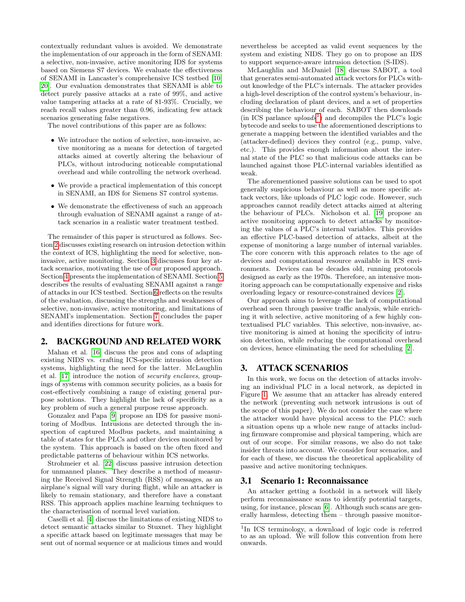contextually redundant values is avoided. We demonstrate the implementation of our approach in the form of SENAMI: a selective, non-invasive, active monitoring IDS for systems based on Siemens S7 devices. We evaluate the effectiveness of SENAMI in Lancaster's comprehensive ICS testbed [\[10,](#page-10-6) [20\]](#page-11-6). Our evaluation demonstrates that SENAMI is able to detect purely passive attacks at a rate of 99%, and active value tampering attacks at a rate of 81-93%. Crucially, we reach recall values greater than 0.96, indicating few attack scenarios generating false negatives.

The novel contributions of this paper are as follows:

- We introduce the notion of selective, non-invasive, active monitoring as a means for detection of targeted attacks aimed at covertly altering the behaviour of PLCs, without introducing noticeable computational overhead and while controlling the network overhead.
- We provide a practical implementation of this concept in SENAMI, an IDS for Siemens S7 control systems.
- We demonstrate the effectiveness of such an approach through evaluation of SENAMI against a range of attack scenarios in a realistic water treatment testbed.

The remainder of this paper is structured as follows. Section [2](#page-1-0) discusses existing research on intrusion detection within the context of ICS, highlighting the need for selective, noninvasive, active monitoring. Section [3](#page-1-1) discusses four key attack scenarios, motivating the use of our proposed approach. Section [4](#page-3-0) presents the implementation of SENAMI. Section [5](#page-5-0) describes the results of evaluating SENAMI against a range of attacks in our ICS testbed. Section [6](#page-9-0) reflects on the results of the evaluation, discussing the strengths and weaknesses of selective, non-invasive, active monitoring, and limitations of SENAMI's implementation. Section [7](#page-10-7) concludes the paper and identifies directions for future work.

# <span id="page-1-0"></span>2. BACKGROUND AND RELATED WORK

Mahan et al. [\[16\]](#page-11-3) discuss the pros and cons of adapting existing NIDS vs. crafting ICS-specific intrusion detection systems, highlighting the need for the latter. McLaughlin et al. [\[17\]](#page-11-7) introduce the notion of security enclaves, groupings of systems with common security policies, as a basis for cost-effectively combining a range of existing general purpose solutions. They highlight the lack of specificity as a key problem of such a general purpose reuse approach.

Gonzalez and Papa [\[9\]](#page-10-4) propose an IDS for passive monitoring of Modbus. Intrusions are detected through the inspection of captured Modbus packets, and maintaining a table of states for the PLCs and other devices monitored by the system. This approach is based on the often fixed and predictable patterns of behaviour within ICS networks.

Strohmeier et al. [\[22\]](#page-11-4) discuss passive intrusion detection for unmanned planes. They describe a method of measuring the Received Signal Strength (RSS) of messages, as an airplane's signal will vary during flight, while an attacker is likely to remain stationary, and therefore have a constant RSS. This approach applies machine learning techniques to the characterisation of normal level variation.

Caselli et al. [\[4\]](#page-10-8) discuss the limitations of existing NIDS to detect semantic attacks similar to Stuxnet. They highlight a specific attack based on legitimate messages that may be sent out of normal sequence or at malicious times and would nevertheless be accepted as valid event sequences by the system and existing NIDS. They go on to propose an IDS to support sequence-aware intrusion detection (S-IDS).

McLaughlin and McDaniel [\[18\]](#page-11-8) discuss SABOT, a tool that generates semi-automated attack vectors for PLCs without knowledge of the PLC's internals. The attacker provides a high-level description of the control system's behaviour, including declaration of plant devices, and a set of properties describing the behaviour of each. SABOT then downloads  $(in ICS parlance *uploads*<sup>1</sup>)$  $(in ICS parlance *uploads*<sup>1</sup>)$  $(in ICS parlance *uploads*<sup>1</sup>)$  and decompiles the PLC's logic bytecode and seeks to use the aforementioned descriptions to generate a mapping between the identified variables and the (attacker-defined) devices they control (e.g., pump, valve, etc.). This provides enough information about the internal state of the PLC so that malicious code attacks can be launched against those PLC-internal variables identified as weak.

The aforementioned passive solutions can be used to spot generally suspicious behaviour as well as more specific attack vectors, like uploads of PLC logic code. However, such approaches cannot readily detect attacks aimed at altering the behaviour of PLCs. Nicholson et al. [\[19\]](#page-11-5) propose an active monitoring approach to detect attacks by monitoring the values of a PLC's internal variables. This provides an effective PLC-based detection of attacks, albeit at the expense of monitoring a large number of internal variables. The core concern with this approach relates to the age of devices and computational resource available in ICS environments. Devices can be decades old, running protocols designed as early as the 1970s. Therefore, an intensive monitoring approach can be computationally expensive and risks overloading legacy or resource-constrained devices [\[2\]](#page-10-5).

Our approach aims to leverage the lack of computational overhead seen through passive traffic analysis, while enriching it with selective, active monitoring of a few highly contextualised PLC variables. This selective, non-invasive, active monitoring is aimed at honing the specificity of intrusion detection, while reducing the computational overhead on devices, hence eliminating the need for scheduling [\[2\]](#page-10-5).

# <span id="page-1-1"></span>3. ATTACK SCENARIOS

In this work, we focus on the detection of attacks involving an individual PLC in a local network, as depicted in Figure [1.](#page-2-0) We assume that an attacker has already entered the network (preventing such network intrusions is out of the scope of this paper). We do not consider the case where the attacker would have physical access to the PLC: such a situation opens up a whole new range of attacks including firmware compromise and physical tampering, which are out of our scope. For similar reasons, we also do not take insider threats into account. We consider four scenarios, and for each of these, we discuss the theoretical applicability of passive and active monitoring techniques.

#### 3.1 Scenario 1: Reconnaissance

An attacker getting a foothold in a network will likely perform reconnaissance scans to identify potential targets, using, for instance, plcscan [\[6\]](#page-10-9). Although such scans are generally harmless, detecting them – through passive monitor-

<span id="page-1-2"></span><sup>&</sup>lt;sup>1</sup>In ICS terminology, a download of logic code is referred to as an upload. We will follow this convention from here onwards.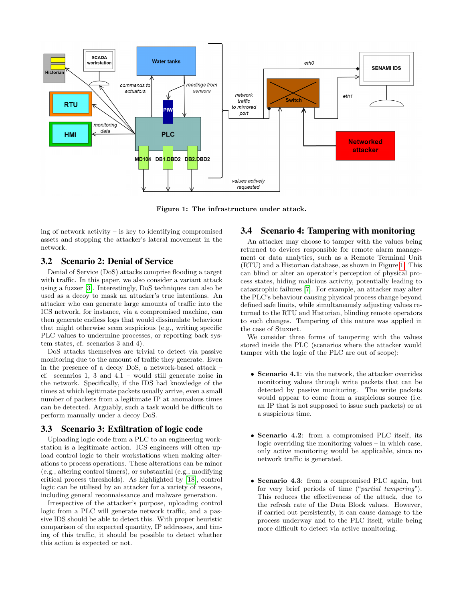

<span id="page-2-0"></span>Figure 1: The infrastructure under attack.

ing of network activity – is key to identifying compromised assets and stopping the attacker's lateral movement in the network.

# 3.2 Scenario 2: Denial of Service

Denial of Service (DoS) attacks comprise flooding a target with traffic. In this paper, we also consider a variant attack using a fuzzer [\[3\]](#page-10-10). Interestingly, DoS techniques can also be used as a decoy to mask an attacker's true intentions. An attacker who can generate large amounts of traffic into the ICS network, for instance, via a compromised machine, can then generate endless logs that would dissimulate behaviour that might otherwise seem suspicious (e.g., writing specific PLC values to undermine processes, or reporting back system states, cf. scenarios 3 and 4).

DoS attacks themselves are trivial to detect via passive monitoring due to the amount of traffic they generate. Even in the presence of a decoy DoS, a network-based attack – cf. scenarios 1, 3 and 4.1 – would still generate noise in the network. Specifically, if the IDS had knowledge of the times at which legitimate packets usually arrive, even a small number of packets from a legitimate IP at anomalous times can be detected. Arguably, such a task would be difficult to perform manually under a decoy DoS.

#### 3.3 Scenario 3: Exfiltration of logic code

Uploading logic code from a PLC to an engineering workstation is a legitimate action. ICS engineers will often upload control logic to their workstations when making alterations to process operations. These alterations can be minor (e.g., altering control timers), or substantial (e.g., modifying critical process thresholds). As highlighted by [\[18\]](#page-11-8), control logic can be utilised by an attacker for a variety of reasons, including general reconnaissance and malware generation.

Irrespective of the attacker's purpose, uploading control logic from a PLC will generate network traffic, and a passive IDS should be able to detect this. With proper heuristic comparison of the expected quantity, IP addresses, and timing of this traffic, it should be possible to detect whether this action is expected or not.

# 3.4 Scenario 4: Tampering with monitoring

An attacker may choose to tamper with the values being returned to devices responsible for remote alarm management or data analytics, such as a Remote Terminal Unit (RTU) and a Historian database, as shown in Figure [1.](#page-2-0) This can blind or alter an operator's perception of physical process states, hiding malicious activity, potentially leading to catastrophic failures [\[7\]](#page-10-11). For example, an attacker may alter the PLC's behaviour causing physical process change beyond defined safe limits, while simultaneously adjusting values returned to the RTU and Historian, blinding remote operators to such changes. Tampering of this nature was applied in the case of Stuxnet.

We consider three forms of tampering with the values stored inside the PLC (scenarios where the attacker would tamper with the logic of the PLC are out of scope):

- Scenario 4.1: via the network, the attacker overrides monitoring values through write packets that can be detected by passive monitoring. The write packets would appear to come from a suspicious source (i.e. an IP that is not supposed to issue such packets) or at a suspicious time.
- Scenario 4.2: from a compromised PLC itself, its logic overriding the monitoring values – in which case, only active monitoring would be applicable, since no network traffic is generated.
- Scenario 4.3: from a compromised PLC again, but for very brief periods of time ("partial tampering"). This reduces the effectiveness of the attack, due to the refresh rate of the Data Block values. However, if carried out persistently, it can cause damage to the process underway and to the PLC itself, while being more difficult to detect via active monitoring.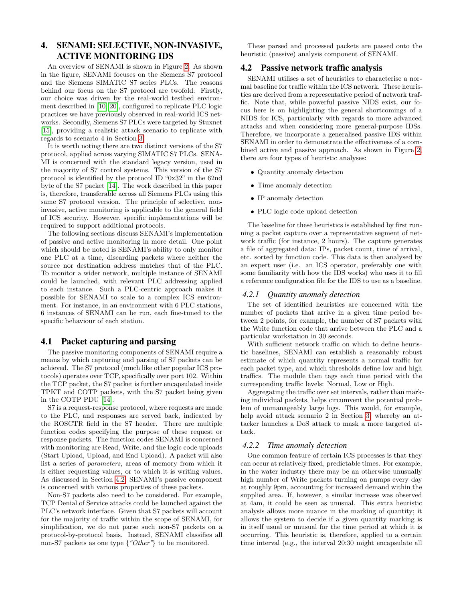# <span id="page-3-0"></span>4. SENAMI: SELECTIVE, NON-INVASIVE, ACTIVE MONITORING IDS

An overview of SENAMI is shown in Figure [2.](#page-4-0) As shown in the figure, SENAMI focuses on the Siemens S7 protocol and the Siemens SIMATIC S7 series PLCs. The reasons behind our focus on the S7 protocol are twofold. Firstly, our choice was driven by the real-world testbed environment described in [\[10,](#page-10-6) [20\]](#page-11-6), configured to replicate PLC logic practices we have previously observed in real-world ICS networks. Secondly, Siemens S7 PLCs were targeted by Stuxnet [\[15\]](#page-11-1), providing a realistic attack scenario to replicate with regards to scenario 4 in Section [3.](#page-1-1)

It is worth noting there are two distinct versions of the S7 protocol, applied across varying SIMATIC S7 PLCs. SENA-MI is concerned with the standard legacy version, used in the majority of S7 control systems. This version of the S7 protocol is identified by the protocol ID "0x32" in the 62nd byte of the S7 packet [\[14\]](#page-11-9). The work described in this paper is, therefore, transferable across all Siemens PLCs using this same S7 protocol version. The principle of selective, noninvasive, active monitoring is applicable to the general field of ICS security. However, specific implementations will be required to support additional protocols.

The following sections discuss SENAMI's implementation of passive and active monitoring in more detail. One point which should be noted is SENAMI's ability to only monitor one PLC at a time, discarding packets where neither the source nor destination address matches that of the PLC. To monitor a wider network, multiple instance of SENAMI could be launched, with relevant PLC addressing applied to each instance. Such a PLC-centric approach makes it possible for SENAMI to scale to a complex ICS environment. For instance, in an environment with 6 PLC stations, 6 instances of SENAMI can be run, each fine-tuned to the specific behaviour of each station.

# 4.1 Packet capturing and parsing

The passive monitoring components of SENAMI require a means by which capturing and parsing of S7 packets can be achieved. The S7 protocol (much like other popular ICS protocols) operates over TCP, specifically over port 102. Within the TCP packet, the S7 packet is further encapsulated inside TPKT and COTP packets, with the S7 packet being given in the COTP PDU [\[14\]](#page-11-9).

S7 is a request-response protocol, where requests are made to the PLC, and responses are served back, indicated by the ROSCTR field in the S7 header. There are multiple function codes specifying the purpose of these request or response packets. The function codes SENAMI is concerned with monitoring are Read, Write, and the logic code uploads (Start Upload, Upload, and End Upload). A packet will also list a series of parameters, areas of memory from which it is either requesting values, or to which it is writing values. As discussed in Section [4.2,](#page-3-1) SENAMI's passive component is concerned with various properties of these packets.

Non-S7 packets also need to be considered. For example, TCP Denial of Service attacks could be launched against the PLC's network interface. Given that S7 packets will account for the majority of traffic within the scope of SENAMI, for simplification, we do not parse such non-S7 packets on a protocol-by-protocol basis. Instead, SENAMI classifies all non-S7 packets as one type {"Other"} to be monitored.

These parsed and processed packets are passed onto the heuristic (passive) analysis component of SENAMI.

# <span id="page-3-1"></span>4.2 Passive network traffic analysis

SENAMI utilises a set of heuristics to characterise a normal baseline for traffic within the ICS network. These heuristics are derived from a representative period of network traffic. Note that, while powerful passive NIDS exist, our focus here is on highlighting the general shortcomings of a NIDS for ICS, particularly with regards to more advanced attacks and when considering more general-purpose IDSs. Therefore, we incorporate a generalised passive IDS within SENAMI in order to demonstrate the effectiveness of a combined active and passive approach. As shown in Figure [2,](#page-4-0) there are four types of heuristic analyses:

- Quantity anomaly detection
- Time anomaly detection
- IP anomaly detection
- PLC logic code upload detection

The baseline for these heuristics is established by first running a packet capture over a representative segment of network traffic (for instance, 2 hours). The capture generates a file of aggregated data: IPs, packet count, time of arrival, etc. sorted by function code. This data is then analysed by an expert user (i.e. an ICS operator, preferably one with some familiarity with how the IDS works) who uses it to fill a reference configuration file for the IDS to use as a baseline.

#### *4.2.1 Quantity anomaly detection*

The set of identified heuristics are concerned with the number of packets that arrive in a given time period between 2 points, for example, the number of S7 packets with the Write function code that arrive between the PLC and a particular workstation in 30 seconds.

With sufficient network traffic on which to define heuristic baselines, SENAMI can establish a reasonably robust estimate of which quantity represents a normal traffic for each packet type, and which thresholds define low and high traffics. The module then tags each time period with the corresponding traffic levels: Normal, Low or High.

Aggregating the traffic over set intervals, rather than marking individual packets, helps circumvent the potential problem of unmanageably large logs. This would, for example, help avoid attack scenario 2 in Section [3,](#page-1-1) whereby an attacker launches a DoS attack to mask a more targeted attack.

#### *4.2.2 Time anomaly detection*

One common feature of certain ICS processes is that they can occur at relatively fixed, predictable times. For example, in the water industry there may be an otherwise unusually high number of Write packets turning on pumps every day at roughly 9pm, accounting for increased demand within the supplied area. If, however, a similar increase was observed at 4am, it could be seen as unusual. This extra heuristic analysis allows more nuance in the marking of quantity; it allows the system to decide if a given quantity marking is in itself usual or unusual for the time period at which it is occurring. This heuristic is, therefore, applied to a certain time interval (e.g., the interval 20:30 might encapsulate all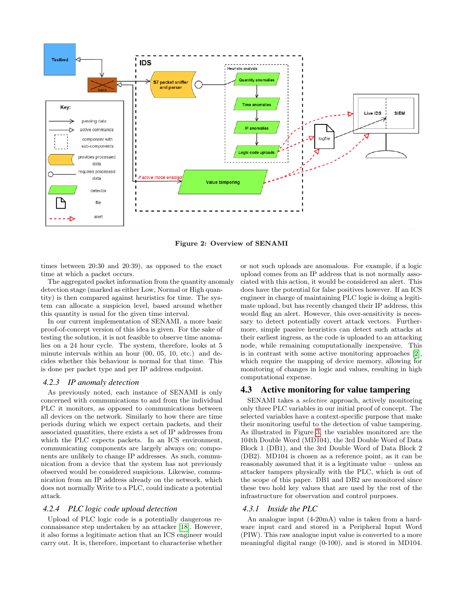

<span id="page-4-0"></span>Figure 2: Overview of SENAMI

times between 20:30 and 20:39), as opposed to the exact time at which a packet occurs.

The aggregated packet information from the quantity anomaly detection stage (marked as either Low, Normal or High quantity) is then compared against heuristics for time. The system can allocate a suspicion level, based around whether this quantity is usual for the given time interval.

In our current implementation of SENAMI, a more basic proof-of-concept version of this idea is given. For the sake of testing the solution, it is not feasible to observe time anomalies on a 24 hour cycle. The system, therefore, looks at 5 minute intervals within an hour (00, 05, 10, etc.) and decides whether this behaviour is normal for that time. This is done per packet type and per IP address endpoint.

#### *4.2.3 IP anomaly detection*

As previously noted, each instance of SENAMI is only concerned with communications to and from the individual PLC it monitors, as opposed to communications between all devices on the network. Similarly to how there are time periods during which we expect certain packets, and their associated quantities, there exists a set of IP addresses from which the PLC expects packets. In an ICS environment, communicating components are largely always on; components are unlikely to change IP addresses. As such, communication from a device that the system has not previously observed would be considered suspicious. Likewise, communication from an IP address already on the network, which does not normally Write to a PLC, could indicate a potential attack.

#### *4.2.4 PLC logic code upload detection*

Upload of PLC logic code is a potentially dangerous reconnaissance step undertaken by an attacker [\[18\]](#page-11-8). However, it also forms a legitimate action that an ICS engineer would carry out. It is, therefore, important to characterise whether or not such uploads are anomalous. For example, if a logic upload comes from an IP address that is not normally associated with this action, it would be considered an alert. This does have the potential for false positives however. If an ICS engineer in charge of maintaining PLC logic is doing a legitimate upload, but has recently changed their IP address, this would flag an alert. However, this over-sensitivity is necessary to detect potentially covert attack vectors. Furthermore, simple passive heuristics can detect such attacks at their earliest ingress, as the code is uploaded to an attacking node, while remaining computationally inexpensive. This is in contrast with some active monitoring approaches [\[2\]](#page-10-5), which require the mapping of device memory, allowing for monitoring of changes in logic and values, resulting in high computational expense.

## 4.3 Active monitoring for value tampering

SENAMI takes a selective approach, actively monitoring only three PLC variables in our initial proof of concept. The selected variables have a context-specific purpose that make their monitoring useful to the detection of value tampering. As illustrated in Figure [3,](#page-5-1) the variables monitored are the 104th Double Word (MD104), the 3rd Double Word of Data Block 1 (DB1), and the 3rd Double Word of Data Block 2 (DB2). MD104 is chosen as a reference point, as it can be reasonably assumed that it is a legitimate value – unless an attacker tampers physically with the PLC, which is out of the scope of this paper. DB1 and DB2 are monitored since these two hold key values that are used by the rest of the infrastructure for observation and control purposes.

# *4.3.1 Inside the PLC*

An analogue input (4-20mA) value is taken from a hardware input card and stored in a Peripheral Input Word (PIW). This raw analogue input value is converted to a more meaningful digital range (0-100), and is stored in MD104.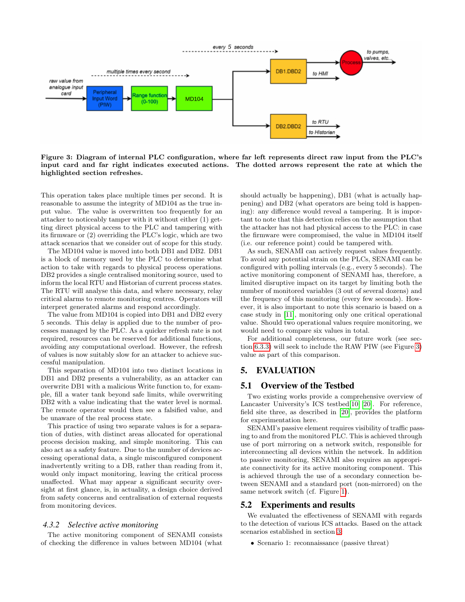

<span id="page-5-1"></span>Figure 3: Diagram of internal PLC configuration, where far left represents direct raw input from the PLC's input card and far right indicates executed actions. The dotted arrows represent the rate at which the highlighted section refreshes.

This operation takes place multiple times per second. It is reasonable to assume the integrity of MD104 as the true input value. The value is overwritten too frequently for an attacker to noticeably tamper with it without either (1) getting direct physical access to the PLC and tampering with its firmware or (2) overriding the PLC's logic, which are two attack scenarios that we consider out of scope for this study.

The MD104 value is moved into both DB1 and DB2. DB1 is a block of memory used by the PLC to determine what action to take with regards to physical process operations. DB2 provides a single centralised monitoring source, used to inform the local RTU and Historian of current process states. The RTU will analyse this data, and where necessary, relay critical alarms to remote monitoring centres. Operators will interpret generated alarms and respond accordingly.

The value from MD104 is copied into DB1 and DB2 every 5 seconds. This delay is applied due to the number of processes managed by the PLC. As a quicker refresh rate is not required, resources can be reserved for additional functions, avoiding any computational overload. However, the refresh of values is now suitably slow for an attacker to achieve successful manipulation.

This separation of MD104 into two distinct locations in DB1 and DB2 presents a vulnerability, as an attacker can overwrite DB1 with a malicious Write function to, for example, fill a water tank beyond safe limits, while overwriting DB2 with a value indicating that the water level is normal. The remote operator would then see a falsified value, and be unaware of the real process state.

This practice of using two separate values is for a separation of duties, with distinct areas allocated for operational process decision making, and simple monitoring. This can also act as a safety feature. Due to the number of devices accessing operational data, a single misconfigured component inadvertently writing to a DB, rather than reading from it, would only impact monitoring, leaving the critical process unaffected. What may appear a significant security oversight at first glance, is, in actuality, a design choice derived from safety concerns and centralisation of external requests from monitoring devices.

#### *4.3.2 Selective active monitoring*

The active monitoring component of SENAMI consists of checking the difference in values between MD104 (what should actually be happening), DB1 (what is actually happening) and DB2 (what operators are being told is happening): any difference would reveal a tampering. It is important to note that this detection relies on the assumption that the attacker has not had physical access to the PLC: in case the firmware were compromised, the value in MD104 itself (i.e. our reference point) could be tampered with.

As such, SENAMI can actively request values frequently. To avoid any potential strain on the PLCs, SENAMI can be configured with polling intervals (e.g., every 5 seconds). The active monitoring component of SENAMI has, therefore, a limited disruptive impact on its target by limiting both the number of monitored variables (3 out of several dozens) and the frequency of this monitoring (every few seconds). However, it is also important to note this scenario is based on a case study in [\[11\]](#page-10-12), monitoring only one critical operational value. Should two operational values require monitoring, we would need to compare six values in total.

For additional completeness, our future work (see section [6.3.3\)](#page-10-13) will seek to include the RAW PIW (see Figure [3\)](#page-5-1) value as part of this comparison.

# <span id="page-5-0"></span>5. EVALUATION

## 5.1 Overview of the Testbed

Two existing works provide a comprehensive overview of Lancaster University's ICS testbed[\[10,](#page-10-6) [20\]](#page-11-6). For reference, field site three, as described in [\[20\]](#page-11-6), provides the platform for experimentation here.

SENAMI's passive element requires visibility of traffic passing to and from the monitored PLC. This is achieved through use of port mirroring on a network switch, responsible for interconnecting all devices within the network. In addition to passive monitoring, SENAMI also requires an appropriate connectivity for its active monitoring component. This is achieved through the use of a secondary connection between SENAMI and a standard port (non-mirrored) on the same network switch (cf. Figure [1\)](#page-2-0).

#### 5.2 Experiments and results

We evaluated the effectiveness of SENAMI with regards to the detection of various ICS attacks. Based on the attack scenarios established in section [3:](#page-1-1)

• Scenario 1: reconnaissance (passive threat)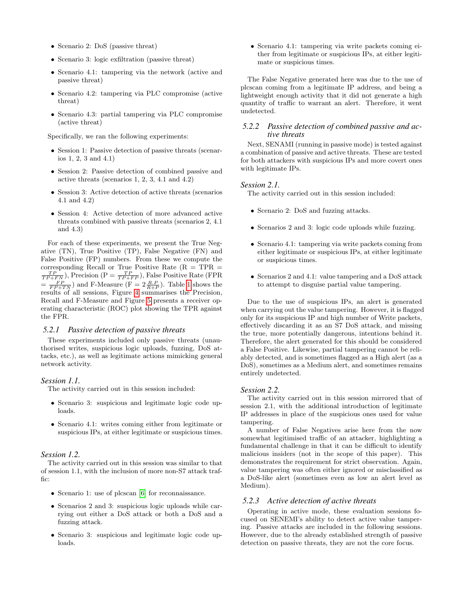- Scenario 2: DoS (passive threat)
- Scenario 3: logic exfiltration (passive threat)
- Scenario 4.1: tampering via the network (active and passive threat)
- Scenario 4.2: tampering via PLC compromise (active threat)
- Scenario 4.3: partial tampering via PLC compromise (active threat)

Specifically, we ran the following experiments:

- Session 1: Passive detection of passive threats (scenarios 1, 2, 3 and 4.1)
- Session 2: Passive detection of combined passive and active threats (scenarios 1, 2, 3, 4.1 and 4.2)
- Session 3: Active detection of active threats (scenarios 4.1 and 4.2)
- Session 4: Active detection of more advanced active threats combined with passive threats (scenarios 2, 4.1 and 4.3)

For each of these experiments, we present the True Negative (TN), True Positive (TP), False Negative (FN) and False Positive (FP) numbers. From these we compute the corresponding Recall or True Positive Rate (R = TPR =  $\frac{TP}{TP+FN}$ ), Precision (P =  $\frac{TP}{TP+FP}$ ), False Positive Rate (FPR  $=\frac{FP}{FP+TN}$  and F-Measure  $(F = 2\frac{R.P}{R+P})$ . Table [1](#page-8-0) shows the results of all sessions, Figure [4](#page-7-0) summarises the Precision, Recall and F-Measure and Figure [5](#page-7-1) presents a receiver operating characteristic (ROC) plot showing the TPR against the FPR.

#### *5.2.1 Passive detection of passive threats*

These experiments included only passive threats (unauthorised writes, suspicious logic uploads, fuzzing, DoS attacks, etc.), as well as legitimate actions mimicking general network activity.

#### *Session 1.1.*

The activity carried out in this session included:

- Scenario 3: suspicious and legitimate logic code uploads.
- Scenario 4.1: writes coming either from legitimate or suspicious IPs, at either legitimate or suspicious times.

#### *Session 1.2.*

The activity carried out in this session was similar to that of session 1.1, with the inclusion of more non-S7 attack traffic:

- Scenario 1: use of plcscan [\[6\]](#page-10-9) for reconnaissance.
- Scenarios 2 and 3: suspicious logic uploads while carrying out either a DoS attack or both a DoS and a fuzzing attack.
- Scenario 3: suspicious and legitimate logic code uploads.

• Scenario 4.1: tampering via write packets coming either from legitimate or suspicious IPs, at either legitimate or suspicious times.

The False Negative generated here was due to the use of plcscan coming from a legitimate IP address, and being a lightweight enough activity that it did not generate a high quantity of traffic to warrant an alert. Therefore, it went undetected.

#### *5.2.2 Passive detection of combined passive and active threats*

Next, SENAMI (running in passive mode) is tested against a combination of passive and active threats. These are tested for both attackers with suspicious IPs and more covert ones with legitimate IPs.

#### *Session 2.1.*

The activity carried out in this session included:

- Scenario 2: DoS and fuzzing attacks.
- Scenarios 2 and 3: logic code uploads while fuzzing.
- Scenario 4.1: tampering via write packets coming from either legitimate or suspicious IPs, at either legitimate or suspicious times.
- Scenarios 2 and 4.1: value tampering and a DoS attack to attempt to disguise partial value tampering.

Due to the use of suspicious IPs, an alert is generated when carrying out the value tampering. However, it is flagged only for its suspicious IP and high number of Write packets, effectively discarding it as an S7 DoS attack, and missing the true, more potentially dangerous, intentions behind it. Therefore, the alert generated for this should be considered a False Positive. Likewise, partial tampering cannot be reliably detected, and is sometimes flagged as a High alert (as a DoS), sometimes as a Medium alert, and sometimes remains entirely undetected.

#### *Session 2.2.*

The activity carried out in this session mirrored that of session 2.1, with the additional introduction of legitimate IP addresses in place of the suspicious ones used for value tampering.

A number of False Negatives arise here from the now somewhat legitimised traffic of an attacker, highlighting a fundamental challenge in that it can be difficult to identify malicious insiders (not in the scope of this paper). This demonstrates the requirement for strict observation. Again, value tampering was often either ignored or misclassified as a DoS-like alert (sometimes even as low an alert level as Medium).

#### *5.2.3 Active detection of active threats*

Operating in active mode, these evaluation sessions focused on SENEMI's ability to detect active value tampering. Passive attacks are included in the following sessions. However, due to the already established strength of passive detection on passive threats, they are not the core focus.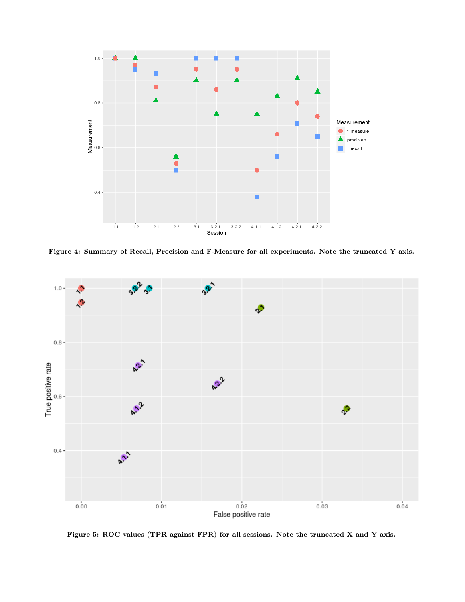

<span id="page-7-0"></span>Figure 4: Summary of Recall, Precision and F-Measure for all experiments. Note the truncated Y axis.



<span id="page-7-1"></span>Figure 5: ROC values (TPR against FPR) for all sessions. Note the truncated X and Y axis.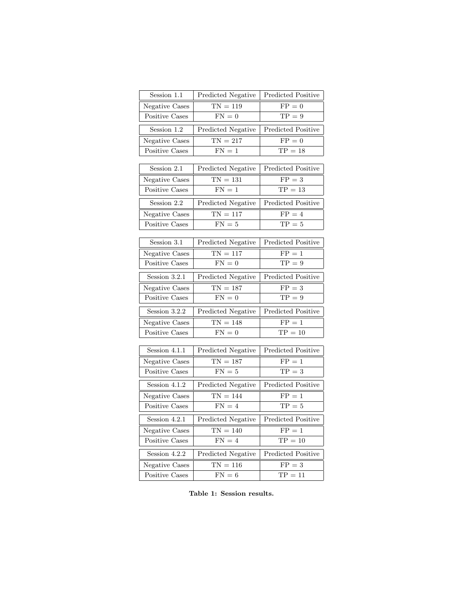| Session 1.1           | Predicted Negative        | Predicted Positive        |
|-----------------------|---------------------------|---------------------------|
| <b>Negative Cases</b> | $TN = 119$                | $FP = 0$                  |
| Positive Cases        | $FN = 0$                  | $TP = 9$                  |
| Session 1.2           | Predicted Negative        | Predicted Positive        |
| Negative Cases        | $TN = 217$                | $\mathrm{FP}=0$           |
| Positive Cases        | $FN = 1$                  | $TP = 18$                 |
| Session 2.1           | <b>Predicted Negative</b> |                           |
|                       |                           | <b>Predicted Positive</b> |
| Negative Cases        | $TN = 131$                | $FP = 3$                  |
| Positive Cases        | $FN = 1$                  | $TP = 13$                 |
| Session 2.2           | <b>Predicted Negative</b> | <b>Predicted Positive</b> |
| Negative Cases        | $TN = 117$                | $FP = 4$                  |
| Positive Cases        | ${\rm FN}=5$              | $TP = 5$                  |
| Session 3.1           | <b>Predicted Negative</b> | <b>Predicted Positive</b> |
| <b>Negative Cases</b> | $TN = 117$                | $FP = 1$                  |
| <b>Positive Cases</b> | $FN = 0$                  | $TP = 9$                  |
|                       |                           |                           |
| Session 3.2.1         | Predicted Negative        | <b>Predicted Positive</b> |
| <b>Negative Cases</b> | $TN = 187$                | $FP = 3$                  |
| Positive Cases        | $FN = 0$                  | $TP = 9$                  |
| Session 3.2.2         | <b>Predicted Negative</b> | Predicted Positive        |
| Negative Cases        | $TN = 148$                | $FP = 1$                  |
| Positive Cases        | $FN = 0$                  | $TP = \overline{10}$      |
| Session 4.1.1         | <b>Predicted Negative</b> | <b>Predicted Positive</b> |
| Negative Cases        | $TN = 187$                | $FP = 1$                  |
| Positive Cases        | $FN = 5$                  | $TP = 3$                  |
| Session 4.1.2         | Predicted Negative        | Predicted Positive        |
| Negative Cases        | $TN = 144$                | $FP = 1$                  |
| Positive Cases        | $FN = 4$                  | $TP = 5$                  |
| Session 4.2.1         | Predicted Negative        | <b>Predicted Positive</b> |
| Negative Cases        | $TN = 140$                | $FP = 1$                  |
| Positive Cases        | $FN = 4$                  | $TP = 10$                 |
| Session 4.2.2         | <b>Predicted Negative</b> | <b>Predicted Positive</b> |
| Negative Cases        | $\mathrm{TN}$ = 116       | $\mathrm{FP}=3$           |
| Positive Cases        | $FN = 6$                  | $TP = 11$                 |

<span id="page-8-0"></span>Table 1: Session results.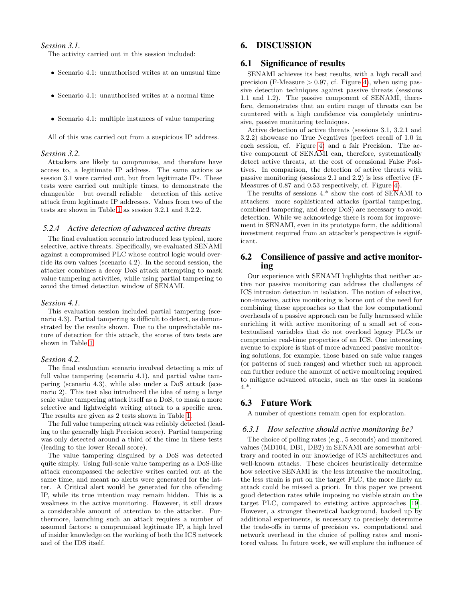## *Session 3.1.*

The activity carried out in this session included:

- Scenario 4.1: unauthorised writes at an unusual time
- Scenario 4.1: unauthorised writes at a normal time
- Scenario 4.1: multiple instances of value tampering

All of this was carried out from a suspicious IP address.

#### *Session 3.2.*

Attackers are likely to compromise, and therefore have access to, a legitimate IP address. The same actions as session 3.1 were carried out, but from legitimate IPs. These tests were carried out multiple times, to demonstrate the changeable – but overall reliable – detection of this active attack from legitimate IP addresses. Values from two of the tests are shown in Table [1](#page-8-0) as session 3.2.1 and 3.2.2.

#### *5.2.4 Active detection of advanced active threats*

The final evaluation scenario introduced less typical, more selective, active threats. Specifically, we evaluated SENAMI against a compromised PLC whose control logic would override its own values (scenario 4.2). In the second session, the attacker combines a decoy DoS attack attempting to mask value tampering activities, while using partial tampering to avoid the timed detection window of SENAMI.

#### *Session 4.1.*

This evaluation session included partial tampering (scenario 4.3). Partial tampering is difficult to detect, as demonstrated by the results shown. Due to the unpredictable nature of detection for this attack, the scores of two tests are shown in Table [1.](#page-8-0)

## *Session 4.2.*

The final evaluation scenario involved detecting a mix of full value tampering (scenario 4.1), and partial value tampering (scenario 4.3), while also under a DoS attack (scenario 2). This test also introduced the idea of using a large scale value tampering attack itself as a DoS, to mask a more selective and lightweight writing attack to a specific area. The results are given as 2 tests shown in Table [1.](#page-8-0)

The full value tampering attack was reliably detected (leading to the generally high Precision score). Partial tampering was only detected around a third of the time in these tests (leading to the lower Recall score).

The value tampering disguised by a DoS was detected quite simply. Using full-scale value tampering as a DoS-like attack encompassed the selective writes carried out at the same time, and meant no alerts were generated for the latter. A Critical alert would be generated for the offending IP, while its true intention may remain hidden. This is a weakness in the active monitoring. However, it still draws a considerable amount of attention to the attacker. Furthermore, launching such an attack requires a number of assumed factors: a compromised legitimate IP, a high level of insider knowledge on the working of both the ICS network and of the IDS itself.

# <span id="page-9-0"></span>6. DISCUSSION

#### 6.1 Significance of results

SENAMI achieves its best results, with a high recall and precision (F-Measure  $> 0.97$ , cf. Figure [4\)](#page-7-0), when using passive detection techniques against passive threats (sessions 1.1 and 1.2). The passive component of SENAMI, therefore, demonstrates that an entire range of threats can be countered with a high confidence via completely unintrusive, passive monitoring techniques.

Active detection of active threats (sessions 3.1, 3.2.1 and 3.2.2) showcase no True Negatives (perfect recall of 1.0 in each session, cf. Figure [4\)](#page-7-0) and a fair Precision. The active component of SENAMI can, therefore, systematically detect active threats, at the cost of occasional False Positives. In comparison, the detection of active threats with passive monitoring (sessions 2.1 and 2.2) is less effective (F-Measures of 0.87 and 0.53 respectively, cf. Figure [4\)](#page-7-0).

The results of sessions 4.\* show the cost of SENAMI to attackers: more sophisticated attacks (partial tampering, combined tampering, and decoy DoS) are necessary to avoid detection. While we acknowledge there is room for improvement in SENAMI, even in its prototype form, the additional investment required from an attacker's perspective is significant.

# 6.2 Consilience of passive and active monitoring

Our experience with SENAMI highlights that neither active nor passive monitoring can address the challenges of ICS intrusion detection in isolation. The notion of selective, non-invasive, active monitoring is borne out of the need for combining these approaches so that the low computational overheads of a passive approach can be fully harnessed while enriching it with active monitoring of a small set of contextualised variables that do not overload legacy PLCs or compromise real-time properties of an ICS. One interesting avenue to explore is that of more advanced passive monitoring solutions, for example, those based on safe value ranges (or patterns of such ranges) and whether such an approach can further reduce the amount of active monitoring required to mitigate advanced attacks, such as the ones in sessions 4.\*.

#### 6.3 Future Work

A number of questions remain open for exploration.

#### *6.3.1 How selective should active monitoring be?*

The choice of polling rates (e.g., 5 seconds) and monitored values (MD104, DB1, DB2) in SENAMI are somewhat arbitrary and rooted in our knowledge of ICS architectures and well-known attacks. These choices heuristically determine how selective SENAMI is: the less intensive the monitoring, the less strain is put on the target PLC, the more likely an attack could be missed a priori. In this paper we present good detection rates while imposing no visible strain on the target PLC, compared to existing active approaches [\[19\]](#page-11-5). However, a stronger theoretical background, backed up by additional experiments, is necessary to precisely determine the trade-offs in terms of precision vs. computational and network overhead in the choice of polling rates and monitored values. In future work, we will explore the influence of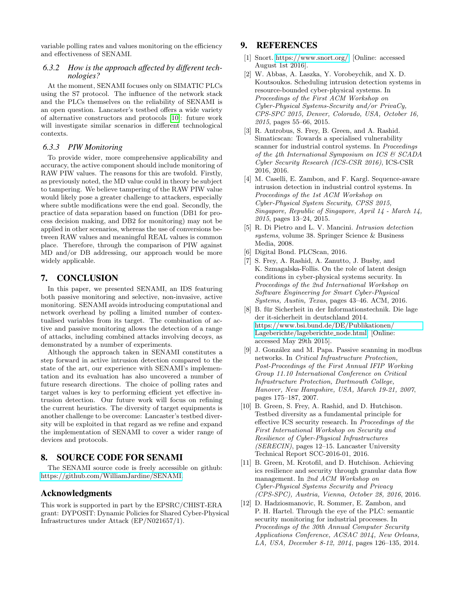variable polling rates and values monitoring on the efficiency and effectiveness of SENAMI.

#### *6.3.2 How is the approach affected by different technologies?*

At the moment, SENAMI focuses only on SIMATIC PLCs using the S7 protocol. The influence of the network stack and the PLCs themselves on the reliability of SENAMI is an open question. Lancaster's testbed offers a wide variety of alternative constructors and protocols [\[10\]](#page-10-6): future work will investigate similar scenarios in different technological contexts.

#### <span id="page-10-13"></span>*6.3.3 PIW Monitoring*

To provide wider, more comprehensive applicability and accuracy, the active component should include monitoring of RAW PIW values. The reasons for this are twofold. Firstly, as previously noted, the MD value could in theory be subject to tampering. We believe tampering of the RAW PIW value would likely pose a greater challenge to attackers, especially where subtle modifications were the end goal. Secondly, the practice of data separation based on function (DB1 for process decision making, and DB2 for monitoring) may not be applied in other scenarios, whereas the use of conversions between RAW values and meaningful REAL values is common place. Therefore, through the comparison of PIW against MD and/or DB addressing, our approach would be more widely applicable.

## <span id="page-10-7"></span>7. CONCLUSION

In this paper, we presented SENAMI, an IDS featuring both passive monitoring and selective, non-invasive, active monitoring. SENAMI avoids introducing computational and network overhead by polling a limited number of contextualised variables from its target. The combination of active and passive monitoring allows the detection of a range of attacks, including combined attacks involving decoys, as demonstrated by a number of experiments.

Although the approach taken in SENAMI constitutes a step forward in active intrusion detection compared to the state of the art, our experience with SENAMI's implementation and its evaluation has also uncovered a number of future research directions. The choice of polling rates and target values is key to performing efficient yet effective intrusion detection. Our future work will focus on refining the current heuristics. The diversity of target equipments is another challenge to be overcome: Lancaster's testbed diversity will be exploited in that regard as we refine and expand the implementation of SENAMI to cover a wider range of devices and protocols.

# 8. SOURCE CODE FOR SENAMI

The SENAMI source code is freely accessible on github: [https://github.com/WilliamJardine/SENAMI.](https://github.com/WilliamJardine/SENAMI)

# Acknowledgments

This work is supported in part by the EPSRC/CHIST-ERA grant: DYPOSIT: Dynamic Policies for Shared Cyber-Physical Infrastructures under Attack (EP/N021657/1).

# 9. REFERENCES

- <span id="page-10-2"></span>[1] Snort. [https://www.snort.org/.](https://www.snort.org/) [Online: accessed August 1st 2016].
- <span id="page-10-5"></span>[2] W. Abbas, A. Laszka, Y. Vorobeychik, and X. D. Koutsoukos. Scheduling intrusion detection systems in resource-bounded cyber-physical systems. In Proceedings of the First ACM Workshop on Cyber-Physical Systems-Security and/or PrivaCy, CPS-SPC 2015, Denver, Colorado, USA, October 16, 2015, pages 55–66, 2015.
- <span id="page-10-10"></span>[3] R. Antrobus, S. Frey, B. Green, and A. Rashid. Simaticscan: Towards a specialised vulnerability scanner for industrial control systems. In Proceedings of the 4th International Symposium on ICS  $\mathcal{B}$  SCADA Cyber Security Research (ICS-CSR 2016), ICS-CSR 2016, 2016.
- <span id="page-10-8"></span>[4] M. Caselli, E. Zambon, and F. Kargl. Sequence-aware intrusion detection in industrial control systems. In Proceedings of the 1st ACM Workshop on Cyber-Physical System Security, CPSS 2015, Singapore, Republic of Singapore, April 14 - March 14, 2015, pages 13–24, 2015.
- <span id="page-10-1"></span>[5] R. Di Pietro and L. V. Mancini. Intrusion detection systems, volume 38. Springer Science & Business Media, 2008.
- <span id="page-10-9"></span>[6] Digital Bond. PLCScan, 2016.
- <span id="page-10-11"></span>[7] S. Frey, A. Rashid, A. Zanutto, J. Busby, and K. Szmagalska-Follis. On the role of latent design conditions in cyber-physical systems security. In Proceedings of the 2nd International Workshop on Software Engineering for Smart Cyber-Physical Systems, Austin, Texas, pages 43–46. ACM, 2016.
- <span id="page-10-0"></span>[8] B. für Sicherheit in der Informationstechnik. Die lage der it-sicherheit in deutschland 2014. [https://www.bsi.bund.de/DE/Publikationen/](https://www.bsi.bund.de/DE/Publikationen/Lageberichte/lageberichte_node.html) [Lageberichte/lageberichte](https://www.bsi.bund.de/DE/Publikationen/Lageberichte/lageberichte_node.html) node.html. [Online: accessed May 29th 2015].
- <span id="page-10-4"></span>[9] J. González and M. Papa. Passive scanning in modbus networks. In Critical Infrastructure Protection, Post-Proceedings of the First Annual IFIP Working Group 11.10 International Conference on Critical Infrastructure Protection, Dartmouth College, Hanover, New Hampshire, USA, March 19-21, 2007, pages 175–187, 2007.
- <span id="page-10-6"></span>[10] B. Green, S. Frey, A. Rashid, and D. Hutchison. Testbed diversity as a fundamental principle for effective ICS security research. In Proceedings of the First International Workshop on Security and Resilience of Cyber-Physical Infrastructures (SERECIN), pages 12–15. Lancaster University Technical Report SCC-2016-01, 2016.
- <span id="page-10-12"></span>[11] B. Green, M. Krotofil, and D. Hutchison. Achieving ics resilience and security through granular data flow management. In 2nd ACM Workshop on Cyber-Physical Systems Security and Privacy (CPS-SPC), Austria, Vienna, October 28, 2016, 2016.
- <span id="page-10-3"></span>[12] D. Hadziosmanovic, R. Sommer, E. Zambon, and P. H. Hartel. Through the eye of the PLC: semantic security monitoring for industrial processes. In Proceedings of the 30th Annual Computer Security Applications Conference, ACSAC 2014, New Orleans, LA, USA, December 8-12, 2014, pages 126–135, 2014.